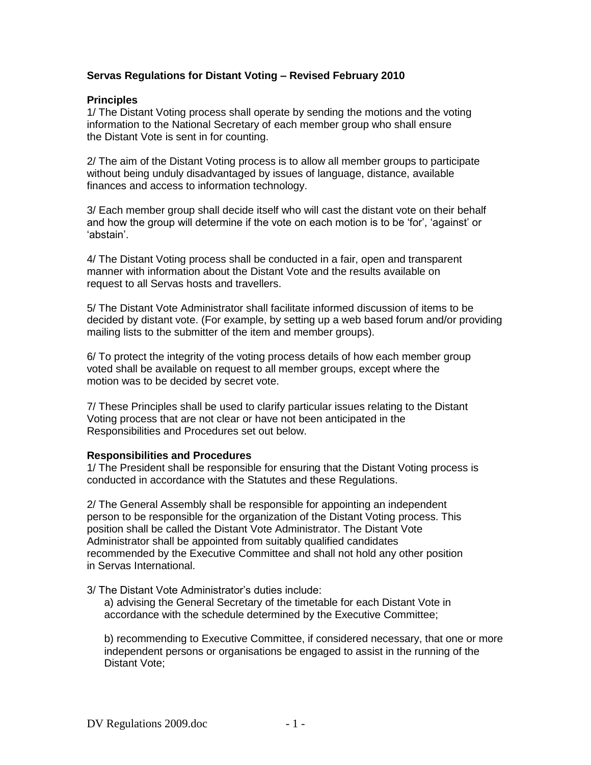## **Servas Regulations for Distant Voting – Revised February 2010**

## **Principles**

1/ The Distant Voting process shall operate by sending the motions and the voting information to the National Secretary of each member group who shall ensure the Distant Vote is sent in for counting.

2/ The aim of the Distant Voting process is to allow all member groups to participate without being unduly disadvantaged by issues of language, distance, available finances and access to information technology.

3/ Each member group shall decide itself who will cast the distant vote on their behalf and how the group will determine if the vote on each motion is to be 'for', 'against' or 'abstain'.

4/ The Distant Voting process shall be conducted in a fair, open and transparent manner with information about the Distant Vote and the results available on request to all Servas hosts and travellers.

5/ The Distant Vote Administrator shall facilitate informed discussion of items to be decided by distant vote. (For example, by setting up a web based forum and/or providing mailing lists to the submitter of the item and member groups).

6/ To protect the integrity of the voting process details of how each member group voted shall be available on request to all member groups, except where the motion was to be decided by secret vote.

7/ These Principles shall be used to clarify particular issues relating to the Distant Voting process that are not clear or have not been anticipated in the Responsibilities and Procedures set out below.

## **Responsibilities and Procedures**

1/ The President shall be responsible for ensuring that the Distant Voting process is conducted in accordance with the Statutes and these Regulations.

2/ The General Assembly shall be responsible for appointing an independent person to be responsible for the organization of the Distant Voting process. This position shall be called the Distant Vote Administrator. The Distant Vote Administrator shall be appointed from suitably qualified candidates recommended by the Executive Committee and shall not hold any other position in Servas International.

3/ The Distant Vote Administrator's duties include:

a) advising the General Secretary of the timetable for each Distant Vote in accordance with the schedule determined by the Executive Committee;

b) recommending to Executive Committee, if considered necessary, that one or more independent persons or organisations be engaged to assist in the running of the Distant Vote;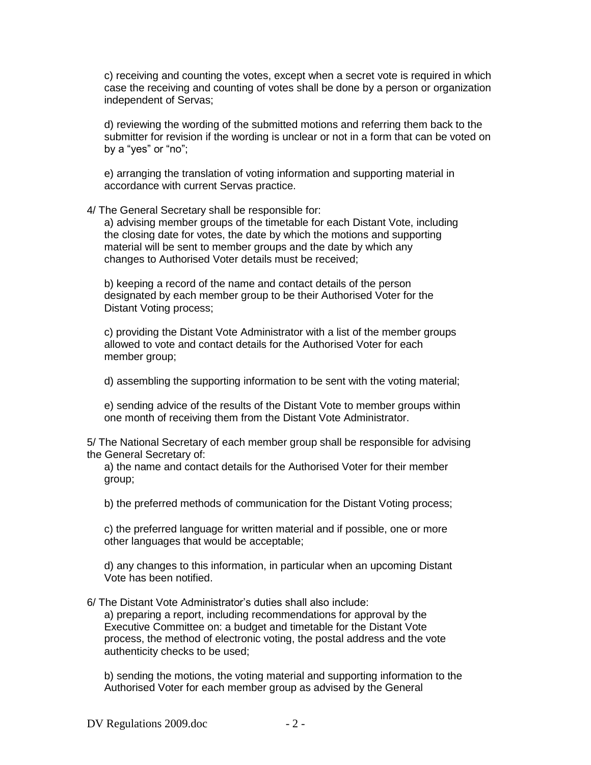c) receiving and counting the votes, except when a secret vote is required in which case the receiving and counting of votes shall be done by a person or organization independent of Servas;

d) reviewing the wording of the submitted motions and referring them back to the submitter for revision if the wording is unclear or not in a form that can be voted on by a "yes" or "no";

e) arranging the translation of voting information and supporting material in accordance with current Servas practice.

4/ The General Secretary shall be responsible for:

a) advising member groups of the timetable for each Distant Vote, including the closing date for votes, the date by which the motions and supporting material will be sent to member groups and the date by which any changes to Authorised Voter details must be received;

b) keeping a record of the name and contact details of the person designated by each member group to be their Authorised Voter for the Distant Voting process;

c) providing the Distant Vote Administrator with a list of the member groups allowed to vote and contact details for the Authorised Voter for each member group;

d) assembling the supporting information to be sent with the voting material;

e) sending advice of the results of the Distant Vote to member groups within one month of receiving them from the Distant Vote Administrator.

5/ The National Secretary of each member group shall be responsible for advising the General Secretary of:

a) the name and contact details for the Authorised Voter for their member group;

b) the preferred methods of communication for the Distant Voting process;

c) the preferred language for written material and if possible, one or more other languages that would be acceptable;

d) any changes to this information, in particular when an upcoming Distant Vote has been notified.

6/ The Distant Vote Administrator's duties shall also include: a) preparing a report, including recommendations for approval by the Executive Committee on: a budget and timetable for the Distant Vote process, the method of electronic voting, the postal address and the vote authenticity checks to be used;

b) sending the motions, the voting material and supporting information to the Authorised Voter for each member group as advised by the General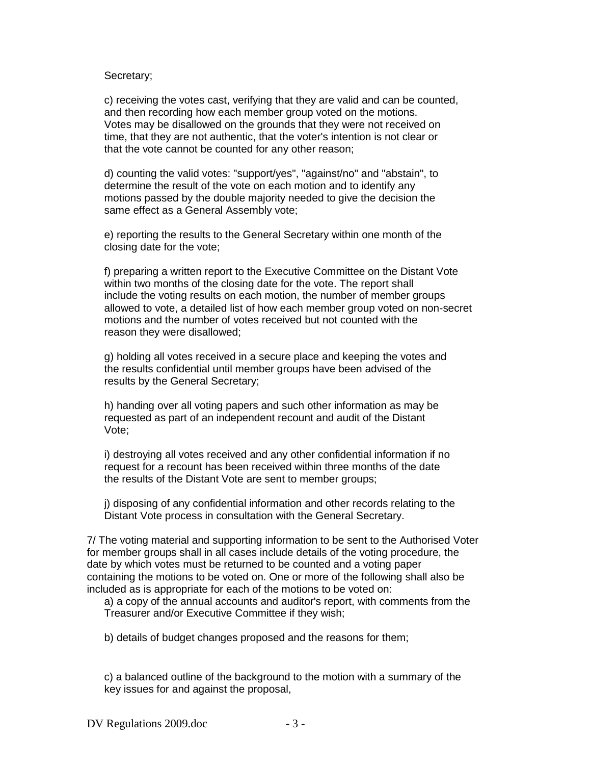## Secretary;

c) receiving the votes cast, verifying that they are valid and can be counted, and then recording how each member group voted on the motions. Votes may be disallowed on the grounds that they were not received on time, that they are not authentic, that the voter's intention is not clear or that the vote cannot be counted for any other reason;

d) counting the valid votes: "support/yes", "against/no" and "abstain", to determine the result of the vote on each motion and to identify any motions passed by the double majority needed to give the decision the same effect as a General Assembly vote;

e) reporting the results to the General Secretary within one month of the closing date for the vote;

f) preparing a written report to the Executive Committee on the Distant Vote within two months of the closing date for the vote. The report shall include the voting results on each motion, the number of member groups allowed to vote, a detailed list of how each member group voted on non-secret motions and the number of votes received but not counted with the reason they were disallowed;

g) holding all votes received in a secure place and keeping the votes and the results confidential until member groups have been advised of the results by the General Secretary;

h) handing over all voting papers and such other information as may be requested as part of an independent recount and audit of the Distant Vote;

i) destroying all votes received and any other confidential information if no request for a recount has been received within three months of the date the results of the Distant Vote are sent to member groups;

j) disposing of any confidential information and other records relating to the Distant Vote process in consultation with the General Secretary.

7/ The voting material and supporting information to be sent to the Authorised Voter for member groups shall in all cases include details of the voting procedure, the date by which votes must be returned to be counted and a voting paper containing the motions to be voted on. One or more of the following shall also be included as is appropriate for each of the motions to be voted on:

a) a copy of the annual accounts and auditor's report, with comments from the Treasurer and/or Executive Committee if they wish;

b) details of budget changes proposed and the reasons for them;

c) a balanced outline of the background to the motion with a summary of the key issues for and against the proposal,